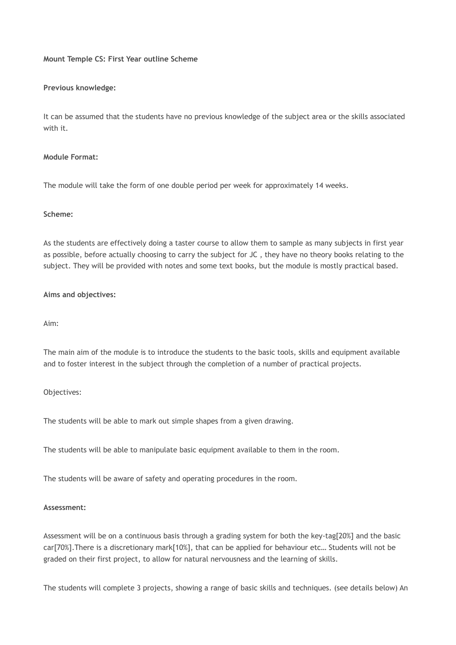### **Mount Temple CS: First Year outline Scheme**

### **Previous knowledge:**

It can be assumed that the students have no previous knowledge of the subject area or the skills associated with it.

#### **Module Format:**

The module will take the form of one double period per week for approximately 14 weeks.

# **Scheme:**

As the students are effectively doing a taster course to allow them to sample as many subjects in first year as possible, before actually choosing to carry the subject for JC , they have no theory books relating to the subject. They will be provided with notes and some text books, but the module is mostly practical based.

# **Aims and objectives:**

Aim:

The main aim of the module is to introduce the students to the basic tools, skills and equipment available and to foster interest in the subject through the completion of a number of practical projects.

# Objectives:

The students will be able to mark out simple shapes from a given drawing.

The students will be able to manipulate basic equipment available to them in the room.

The students will be aware of safety and operating procedures in the room.

#### **Assessment:**

Assessment will be on a continuous basis through a grading system for both the key-tag[20%] and the basic car[70%].There is a discretionary mark[10%], that can be applied for behaviour etc… Students will not be graded on their first project, to allow for natural nervousness and the learning of skills.

The students will complete 3 projects, showing a range of basic skills and techniques. (see details below) An